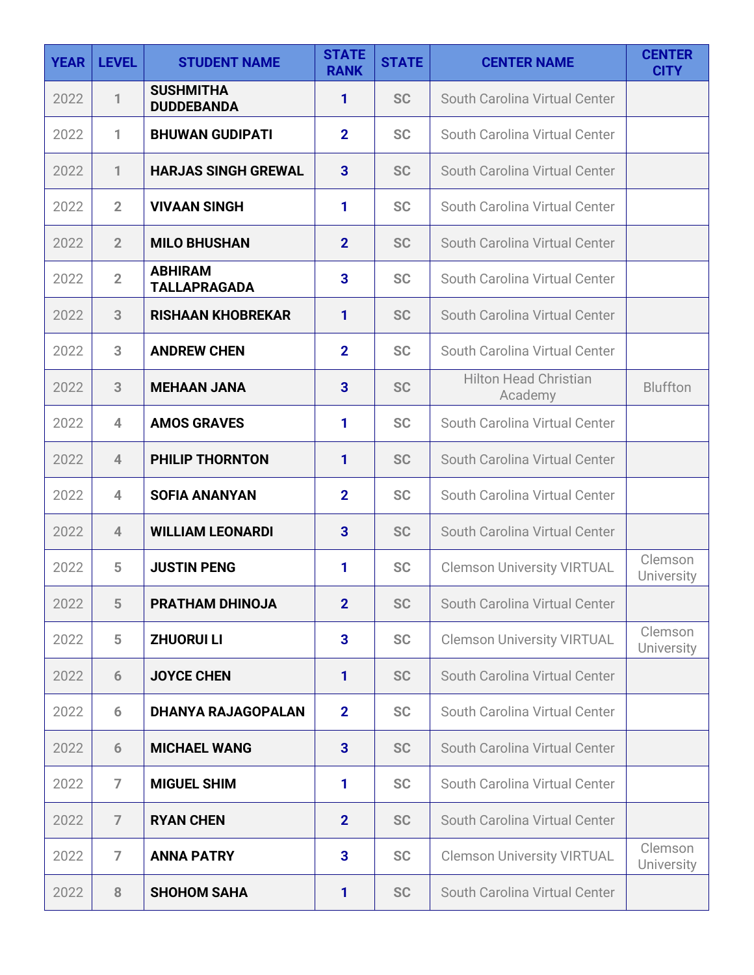| <b>YEAR</b> | <b>LEVEL</b>   | <b>STUDENT NAME</b>                   | <b>STATE</b><br><b>RANK</b> | <b>STATE</b> | <b>CENTER NAME</b>                      | <b>CENTER</b><br><b>CITY</b> |
|-------------|----------------|---------------------------------------|-----------------------------|--------------|-----------------------------------------|------------------------------|
| 2022        | 1              | <b>SUSHMITHA</b><br><b>DUDDEBANDA</b> | 1                           | <b>SC</b>    | South Carolina Virtual Center           |                              |
| 2022        | 1              | <b>BHUWAN GUDIPATI</b>                | $\mathbf{2}$                | <b>SC</b>    | South Carolina Virtual Center           |                              |
| 2022        | 1              | <b>HARJAS SINGH GREWAL</b>            | $\mathbf{3}$                | <b>SC</b>    | South Carolina Virtual Center           |                              |
| 2022        | $\overline{2}$ | <b>VIVAAN SINGH</b>                   | 1                           | <b>SC</b>    | South Carolina Virtual Center           |                              |
| 2022        | $\overline{2}$ | <b>MILO BHUSHAN</b>                   | $\overline{2}$              | <b>SC</b>    | South Carolina Virtual Center           |                              |
| 2022        | $\overline{2}$ | <b>ABHIRAM</b><br><b>TALLAPRAGADA</b> | $\overline{\mathbf{3}}$     | <b>SC</b>    | South Carolina Virtual Center           |                              |
| 2022        | 3              | <b>RISHAAN KHOBREKAR</b>              | 1                           | <b>SC</b>    | South Carolina Virtual Center           |                              |
| 2022        | 3              | <b>ANDREW CHEN</b>                    | $\overline{2}$              | <b>SC</b>    | South Carolina Virtual Center           |                              |
| 2022        | 3              | <b>MEHAAN JANA</b>                    | 3                           | <b>SC</b>    | <b>Hilton Head Christian</b><br>Academy | <b>Bluffton</b>              |
| 2022        | 4              | <b>AMOS GRAVES</b>                    | 1                           | <b>SC</b>    | South Carolina Virtual Center           |                              |
| 2022        | $\overline{4}$ | PHILIP THORNTON                       | 1                           | <b>SC</b>    | South Carolina Virtual Center           |                              |
| 2022        | 4              | <b>SOFIA ANANYAN</b>                  | $\overline{2}$              | <b>SC</b>    | South Carolina Virtual Center           |                              |
| 2022        | $\overline{4}$ | <b>WILLIAM LEONARDI</b>               | $\overline{\mathbf{3}}$     | <b>SC</b>    | South Carolina Virtual Center           |                              |
| 2022        | 5              | <b>JUSTIN PENG</b>                    | 1                           | <b>SC</b>    | <b>Clemson University VIRTUAL</b>       | Clemson<br>University        |
| 2022        | 5              | <b>PRATHAM DHINOJA</b>                | $\overline{2}$              | <b>SC</b>    | South Carolina Virtual Center           |                              |
| 2022        | 5              | <b>ZHUORUI LI</b>                     | 3                           | <b>SC</b>    | <b>Clemson University VIRTUAL</b>       | Clemson<br><b>University</b> |
| 2022        | 6              | <b>JOYCE CHEN</b>                     | 1                           | <b>SC</b>    | South Carolina Virtual Center           |                              |
| 2022        | 6              | <b>DHANYA RAJAGOPALAN</b>             | $\overline{2}$              | <b>SC</b>    | South Carolina Virtual Center           |                              |
| 2022        | 6              | <b>MICHAEL WANG</b>                   | $\mathbf{3}$                | <b>SC</b>    | South Carolina Virtual Center           |                              |
| 2022        | $\overline{7}$ | <b>MIGUEL SHIM</b>                    | 1                           | <b>SC</b>    | South Carolina Virtual Center           |                              |
| 2022        | $\overline{ }$ | <b>RYAN CHEN</b>                      | $\overline{2}$              | <b>SC</b>    | South Carolina Virtual Center           |                              |
| 2022        | $\overline{7}$ | <b>ANNA PATRY</b>                     | 3                           | <b>SC</b>    | <b>Clemson University VIRTUAL</b>       | Clemson<br>University        |
| 2022        | 8              | <b>SHOHOM SAHA</b>                    | 1                           | <b>SC</b>    | South Carolina Virtual Center           |                              |